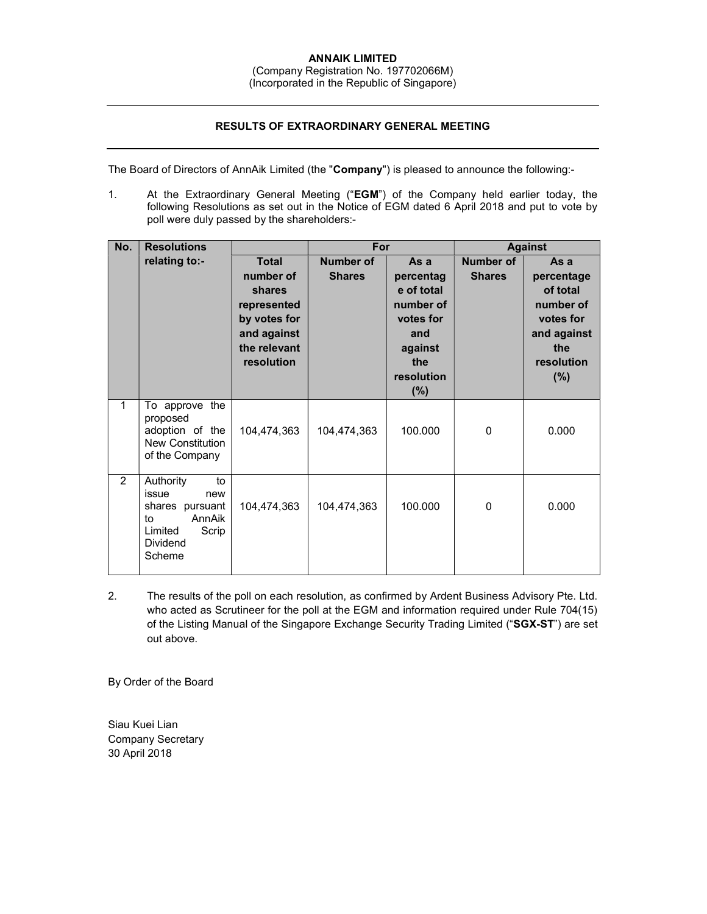## ANNAIK LIMITED

(Company Registration No. 197702066M)

## (Incorporated in the Republic of Singapore)

## RESULTS OF EXTRAORDINARY GENERAL MEETING

The Board of Directors of AnnAik Limited (the "Company") is pleased to announce the following:-

1. At the Extraordinary General Meeting ("EGM") of the Company held earlier today, the following Resolutions as set out in the Notice of EGM dated 6 April 2018 and put to vote by poll were duly passed by the shareholders:-

| No.         | <b>Resolutions</b>                                                                                                  |                                                                                                                 | For                               |                                                                                                            | <b>Against</b>                    |                                                                                                     |
|-------------|---------------------------------------------------------------------------------------------------------------------|-----------------------------------------------------------------------------------------------------------------|-----------------------------------|------------------------------------------------------------------------------------------------------------|-----------------------------------|-----------------------------------------------------------------------------------------------------|
|             | relating to:-                                                                                                       | <b>Total</b><br>number of<br>shares<br>represented<br>by votes for<br>and against<br>the relevant<br>resolution | <b>Number of</b><br><b>Shares</b> | As a<br>percentag<br>e of total<br>number of<br>votes for<br>and<br>against<br>the<br>resolution<br>$(\%)$ | <b>Number of</b><br><b>Shares</b> | As a<br>percentage<br>of total<br>number of<br>votes for<br>and against<br>the<br>resolution<br>(%) |
| $\mathbf 1$ | To approve the<br>proposed<br>adoption of the<br>New Constitution<br>of the Company                                 | 104,474,363                                                                                                     | 104,474,363                       | 100.000                                                                                                    | 0                                 | 0.000                                                                                               |
| 2           | Authority<br>to<br>issue<br>new<br>shares pursuant<br>AnnAik<br>to<br>Limited<br>Scrip<br><b>Dividend</b><br>Scheme | 104,474,363                                                                                                     | 104,474,363                       | 100.000                                                                                                    | 0                                 | 0.000                                                                                               |

2. The results of the poll on each resolution, as confirmed by Ardent Business Advisory Pte. Ltd. who acted as Scrutineer for the poll at the EGM and information required under Rule 704(15) of the Listing Manual of the Singapore Exchange Security Trading Limited ("SGX-ST") are set out above.

By Order of the Board

Siau Kuei Lian Company Secretary 30 April 2018